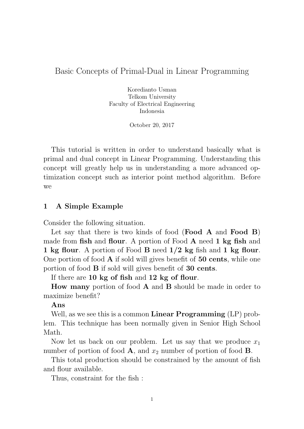## Basic Concepts of Primal-Dual in Linear Programming

Koredianto Usman Telkom University Faculty of Electrical Engineering Indonesia

October 20, 2017

This tutorial is written in order to understand basically what is primal and dual concept in Linear Programming. Understanding this concept will greatly help us in understanding a more advanced optimization concept such as interior point method algorithm. Before we

### 1 A Simple Example

Consider the following situation.

Let say that there is two kinds of food (**Food A** and **Food B**) made from **fish** and **flour**. A portion of Food **A** need **1** kg fish and 1 kg flour. A portion of Food B need  $1/2$  kg fish and 1 kg flour. One portion of food  $\bf{A}$  if sold will gives benefit of  $\bf{50}$  cents, while one portion of food B if sold will gives benefit of 30 cents.

If there are 10 kg of fish and 12 kg of flour.

How many portion of food A and B should be made in order to maximize benefit?

#### Ans

Well, as we see this is a common **Linear Programming** (LP) problem. This technique has been normally given in Senior High School Math.

Now let us back on our problem. Let us say that we produce  $x_1$ number of portion of food  $\mathbf{A}$ , and  $x_2$  number of portion of food  $\mathbf{B}$ .

This total production should be constrained by the amount of fish and flour available.

Thus, constraint for the fish :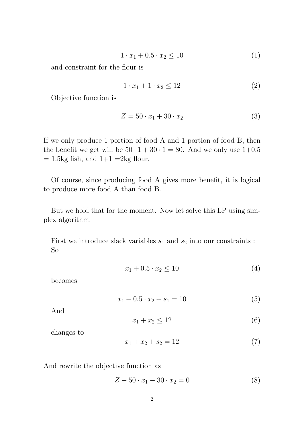$$
1 \cdot x_1 + 0.5 \cdot x_2 \le 10 \tag{1}
$$

and constraint for the flour is

$$
1 \cdot x_1 + 1 \cdot x_2 \le 12 \tag{2}
$$

Objective function is

$$
Z = 50 \cdot x_1 + 30 \cdot x_2 \tag{3}
$$

If we only produce 1 portion of food A and 1 portion of food B, then the benefit we get will be  $50 \cdot 1 + 30 \cdot 1 = 80$ . And we only use  $1+0.5$  $= 1.5$ kg fish, and  $1+1 = 2$ kg flour.

Of course, since producing food A gives more benefit, it is logical to produce more food A than food B.

But we hold that for the moment. Now let solve this LP using simplex algorithm.

First we introduce slack variables  $s_1$  and  $s_2$  into our constraints : So

$$
x_1 + 0.5 \cdot x_2 \le 10 \tag{4}
$$

becomes

$$
x_1 + 0.5 \cdot x_2 + s_1 = 10 \tag{5}
$$

And

$$
x_1 + x_2 \le 12 \tag{6}
$$

changes to

$$
x_1 + x_2 + s_2 = 12 \tag{7}
$$

And rewrite the objective function as

$$
Z - 50 \cdot x_1 - 30 \cdot x_2 = 0 \tag{8}
$$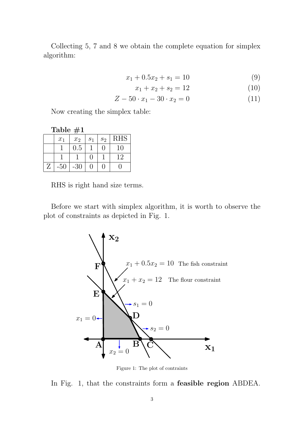Collecting 5, 7 and 8 we obtain the complete equation for simplex algorithm:

$$
x_1 + 0.5x_2 + s_1 = 10 \tag{9}
$$

$$
x_1 + x_2 + s_2 = 12 \tag{10}
$$

$$
Z - 50 \cdot x_1 - 30 \cdot x_2 = 0 \tag{11}
$$

Now creating the simplex table:

Table #1

|   | $x_1$ | $x_2$ | $\overline{S_1}$ | $s_2$             | <b>RHS</b> |
|---|-------|-------|------------------|-------------------|------------|
|   |       | 0.5   |                  | $\mathbf{\Omega}$ | 10         |
|   |       |       |                  |                   | 12         |
| Z | $-50$ | $-30$ | $\left( \right)$ | $\mathbf{\Omega}$ |            |

RHS is right hand size terms.

Before we start with simplex algorithm, it is worth to observe the plot of constraints as depicted in Fig. 1.



Figure 1: The plot of contraints

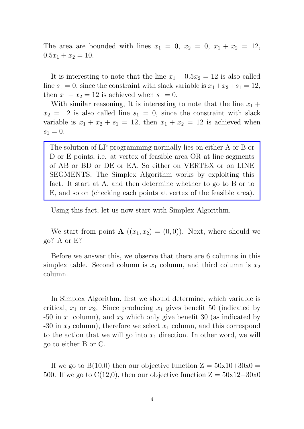The area are bounded with lines  $x_1 = 0$ ,  $x_2 = 0$ ,  $x_1 + x_2 = 12$ ,  $0.5x_1 + x_2 = 10.$ 

It is interesting to note that the line  $x_1 + 0.5x_2 = 12$  is also called line  $s_1 = 0$ , since the constraint with slack variable is  $x_1 + x_2 + s_1 = 12$ , then  $x_1 + x_2 = 12$  is achieved when  $s_1 = 0$ .

With similar reasoning, It is interesting to note that the line  $x_1 +$  $x_2 = 12$  is also called line  $s_1 = 0$ , since the constraint with slack variable is  $x_1 + x_2 + s_1 = 12$ , then  $x_1 + x_2 = 12$  is achieved when  $s_1 = 0.$ 

The solution of LP programming normally lies on either A or B or D or E points, i.e. at vertex of feasible area OR at line segments of AB or BD or DE or EA. So either on VERTEX or on LINE SEGMENTS. The Simplex Algorithm works by exploiting this fact. It start at A, and then determine whether to go to B or to E, and so on (checking each points at vertex of the feasible area).

Using this fact, let us now start with Simplex Algorithm.

We start from point **A**  $((x_1, x_2) = (0, 0))$ . Next, where should we go? A or E?

Before we answer this, we observe that there are 6 columns in this simplex table. Second column is  $x_1$  column, and third column is  $x_2$ column.

In Simplex Algorithm, first we should determine, which variable is critical,  $x_1$  or  $x_2$ . Since producing  $x_1$  gives benefit 50 (indicated by -50 in  $x_1$  column), and  $x_2$  which only give benefit 30 (as indicated by -30 in  $x_2$  column), therefore we select  $x_1$  column, and this correspond to the action that we will go into  $x_1$  direction. In other word, we will go to either B or C.

If we go to  $B(10,0)$  then our objective function  $Z = 50x10+30x0 =$ 500. If we go to  $C(12,0)$ , then our objective function  $Z = 50x12+30x0$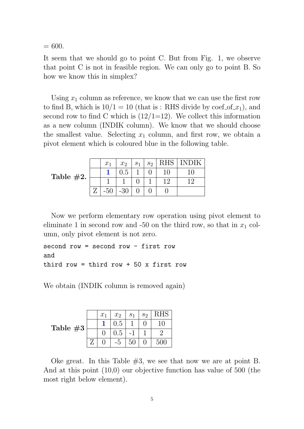$= 600.$ 

It seem that we should go to point C. But from Fig. 1, we observe that point C is not in feasible region. We can only go to point B. So how we know this in simplex?

Using  $x_1$  column as reference, we know that we can use the first row to find B, which is  $10/1 = 10$  (that is: RHS divide by coef of  $x_1$ ), and second row to find C which is  $(12/1=12)$ . We collect this information as a new column (INDIK column). We know that we should choose the smallest value. Selecting  $x_1$  column, and first row, we obtain a pivot element which is coloured blue in the following table.

Table  $#2.$ 

|       | $x_1$ | $x_2$ | $S_1$ |    | $s_2$   RHS   INDIK |
|-------|-------|-------|-------|----|---------------------|
|       |       | 0.5   |       | 10 |                     |
|       |       |       |       | 12 | 12                  |
| $Z^-$ | $-50$ | $-30$ |       |    |                     |

Now we perform elementary row operation using pivot element to eliminate 1 in second row and -50 on the third row, so that in  $x_1$  column, only pivot element is not zero.

```
second row = second row - first row
and
third row = third row + 50 x first row
```
We obtain (INDIK column is removed again)

| Table $#3$ | $x_1$ | $x_2$ | S <sub>1</sub> | $S_2$ | $\rm RHS$ |
|------------|-------|-------|----------------|-------|-----------|
|            |       | 0.5   |                |       | 10        |
|            |       | 0.5   |                |       |           |
|            |       | $-5$  | 50             |       | 500       |

Oke great. In this Table  $#3$ , we see that now we are at point B. And at this point (10,0) our objective function has value of 500 (the most right below element).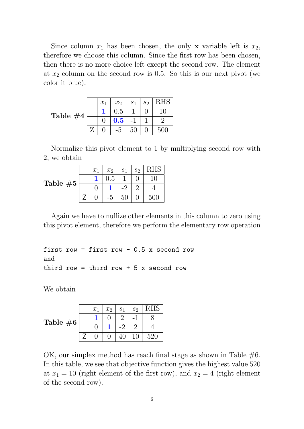Since column  $x_1$  has been chosen, the only **x** variable left is  $x_2$ , therefore we choose this column. Since the first row has been chosen, then there is no more choice left except the second row. The element at  $x_2$  column on the second row is 0.5. So this is our next pivot (we color it blue).

|            | $x_1$ | $x_2$          | S <sub>1</sub> | $S_2$ | RHS     |
|------------|-------|----------------|----------------|-------|---------|
|            |       | 0.5            |                |       |         |
| Table $#4$ |       | $\mathbf{0.5}$ |                |       |         |
|            |       | -5             | 50             |       | $500\,$ |

Normalize this pivot element to 1 by multiplying second row with 2, we obtain

| Table $#5$ | $x_1$ | x <sub>2</sub> | S <sub>1</sub> | $s_2$ |     |
|------------|-------|----------------|----------------|-------|-----|
|            |       | 0.5            |                |       |     |
|            |       |                |                |       |     |
|            |       |                |                |       | 500 |

Again we have to nullize other elements in this column to zero using this pivot element, therefore we perform the elementary row operation

```
first row = first row - 0.5 x second row
and
third row = third row + 5 x second row
```
We obtain

|             | $x_1$ | $x_2$ | S <sub>1</sub> | s <sub>2</sub> | RHS |
|-------------|-------|-------|----------------|----------------|-----|
| Table $\#6$ |       |       |                |                |     |
|             |       |       |                |                |     |
|             |       |       |                |                | 520 |

OK, our simplex method has reach final stage as shown in Table  $#6$ . In this table, we see that objective function gives the highest value 520 at  $x_1 = 10$  (right element of the first row), and  $x_2 = 4$  (right element of the second row).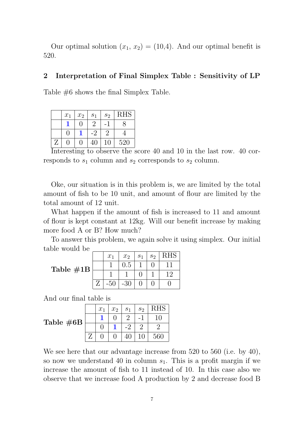Our optimal solution  $(x_1, x_2) = (10, 4)$ . And our optimal benefit is 520.

#### 2 Interpretation of Final Simplex Table : Sensitivity of LP

Table #6 shows the final Simplex Table.

|   | $x_1$             | $x_2$    | S <sub>1</sub> | $s_2$          | <b>RHS</b> |
|---|-------------------|----------|----------------|----------------|------------|
|   |                   | $\Gamma$ | $\overline{2}$ |                |            |
|   | $\left\{ \right.$ |          |                | $\overline{2}$ |            |
| Z |                   | ⋂        | 40             | $10\,$         | 520        |

Interesting to observe the score 40 and 10 in the last row. 40 corresponds to  $s_1$  column and  $s_2$  corresponds to  $s_2$  column.

Oke, our situation is in this problem is, we are limited by the total amount of fish to be 10 unit, and amount of flour are limited by the total amount of 12 unit.

What happen if the amount of fish is increased to 11 and amount of flour is kept constant at 12kg. Will our benefit increase by making more food A or B? How much?

To answer this problem, we again solve it using simplex. Our initial table would be

|              | $x_1$ | $x_2$ | $s_1 \mid s_2$ |    |
|--------------|-------|-------|----------------|----|
| Table $\#1B$ |       | 0.5   |                |    |
|              |       |       |                | 12 |
|              |       | -30   |                |    |

And our final table is

Table #6B

|  | $x_1$ | $x_2$ | $\mathcal{S}_1$ | $s_2$ | <b>RHS</b> |
|--|-------|-------|-----------------|-------|------------|
|  |       |       |                 |       | 10         |
|  |       |       |                 |       |            |
|  |       |       |                 | 10    | 560        |

We see here that our advantage increase from 520 to 560 (i.e. by 40), so now we understand 40 in column  $s<sub>1</sub>$ . This is a profit margin if we increase the amount of fish to 11 instead of 10. In this case also we observe that we increase food A production by 2 and decrease food B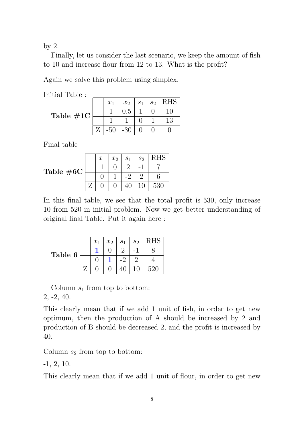by 2.

Finally, let us consider the last scenario, we keep the amount of fish to 10 and increase flour from 12 to 13. What is the profit?

Again we solve this problem using simplex.

Initial Table :

|                     | $x_1$ | $x_2$   | S <sub>1</sub> | s <sub>2</sub> | RHS      |
|---------------------|-------|---------|----------------|----------------|----------|
| Table $\#1\text{C}$ |       | $0.5\,$ |                |                | $\Omega$ |
|                     |       |         |                |                | 13       |
|                     |       | $-30$   |                |                |          |

Final table

| Table $#6C$ | $x_1$ | $x_2$ | S <sub>1</sub> | $S_2$ | RHS     |
|-------------|-------|-------|----------------|-------|---------|
|             |       |       |                |       |         |
|             |       |       |                |       |         |
|             |       |       |                |       | $530\,$ |

In this final table, we see that the total profit is 530, only increase 10 from 520 in initial problem. Now we get better understanding of original final Table. Put it again here :

|         | $x_1$ | $x_2$ | S <sub>1</sub> | s <sub>2</sub> |     |
|---------|-------|-------|----------------|----------------|-----|
| Table 6 |       |       |                |                |     |
|         |       |       |                |                |     |
|         |       |       |                |                | 520 |

Column  $s_1$  from top to bottom: 2, -2, 40.

This clearly mean that if we add 1 unit of fish, in order to get new optimum, then the production of A should be increased by 2 and production of B should be decreased 2, and the profit is increased by 40.

Column  $s_2$  from top to bottom:

-1, 2, 10.

This clearly mean that if we add 1 unit of flour, in order to get new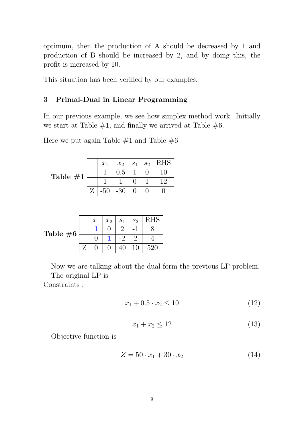optimum, then the production of A should be decreased by 1 and production of B should be increased by 2, and by doing this, the profit is increased by 10.

This situation has been verified by our examples.

# 3 Primal-Dual in Linear Programming

In our previous example, we see how simplex method work. Initially we start at Table  $#1$ , and finally we arrived at Table  $#6$ .

Here we put again Table  $\#1$  and Table  $\#6$ 

Table  $\neq$ 

|       | $x_1$ | $x_2$ | $s_1$ | $s_2$ | <b>RHS</b>                  |
|-------|-------|-------|-------|-------|-----------------------------|
| $\pm$ |       | 0.5   |       |       | 10                          |
|       |       |       |       |       | $\mathcal{D}_{\mathcal{L}}$ |
|       | $-50$ | $-30$ |       |       |                             |

|            | $x_1$ | $x_2$ | S <sub>1</sub> | $S_2$ |         |
|------------|-------|-------|----------------|-------|---------|
|            |       |       |                |       |         |
| Table $#6$ |       |       |                |       |         |
|            |       |       |                |       | $520\,$ |

Now we are talking about the dual form the previous LP problem. The original LP is

Constraints :

$$
x_1 + 0.5 \cdot x_2 \le 10 \tag{12}
$$

$$
x_1 + x_2 \le 12 \tag{13}
$$

Objective function is

$$
Z = 50 \cdot x_1 + 30 \cdot x_2 \tag{14}
$$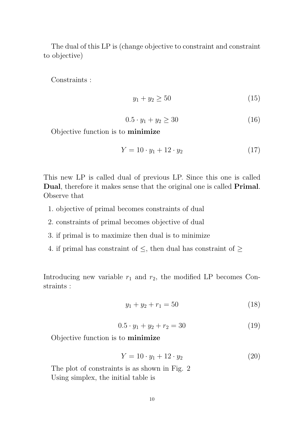The dual of this LP is (change objective to constraint and constraint to objective)

Constraints :

$$
y_1 + y_2 \ge 50 \tag{15}
$$

$$
0.5 \cdot y_1 + y_2 \ge 30 \tag{16}
$$

Objective function is to minimize

$$
Y = 10 \cdot y_1 + 12 \cdot y_2 \tag{17}
$$

This new LP is called dual of previous LP. Since this one is called Dual, therefore it makes sense that the original one is called **Primal**. Observe that

- 1. objective of primal becomes constraints of dual
- 2. constraints of primal becomes objective of dual
- 3. if primal is to maximize then dual is to minimize
- 4. if primal has constraint of  $\leq$ , then dual has constraint of  $\geq$

Introducing new variable  $r_1$  and  $r_2$ , the modified LP becomes Constraints :

$$
y_1 + y_2 + r_1 = 50 \tag{18}
$$

$$
0.5 \cdot y_1 + y_2 + r_2 = 30 \tag{19}
$$

Objective function is to minimize

$$
Y = 10 \cdot y_1 + 12 \cdot y_2 \tag{20}
$$

The plot of constraints is as shown in Fig. 2 Using simplex, the initial table is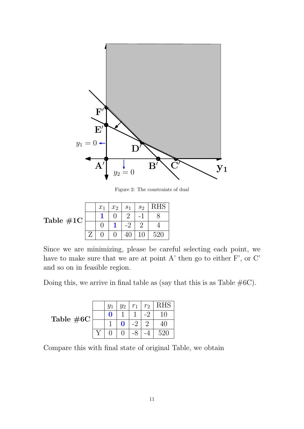

Figure 2: The constraints of dual

|                     | $x_1$ | x <sub>2</sub> | S <sub>1</sub> | $S_2$ |  |
|---------------------|-------|----------------|----------------|-------|--|
| Table $\#1\text{C}$ |       |                |                |       |  |
|                     |       |                |                |       |  |
|                     |       |                |                |       |  |

Since we are minimizing, please be careful selecting each point, we have to make sure that we are at point A' then go to either F', or C' and so on in feasible region.

Doing this, we arrive in final table as (say that this is as Table  $#6C$ ).

Table #6C

|  | $y_1$ | $y_2$ | $r_1$ | r <sub>2</sub>              | <b>RHS</b> |
|--|-------|-------|-------|-----------------------------|------------|
|  | O     |       |       | ٠.                          | 10         |
|  |       | 0     | - ?   | $\mathcal{D}_{\mathcal{L}}$ | 40         |
|  |       |       |       |                             | 520        |

Compare this with final state of original Table, we obtain